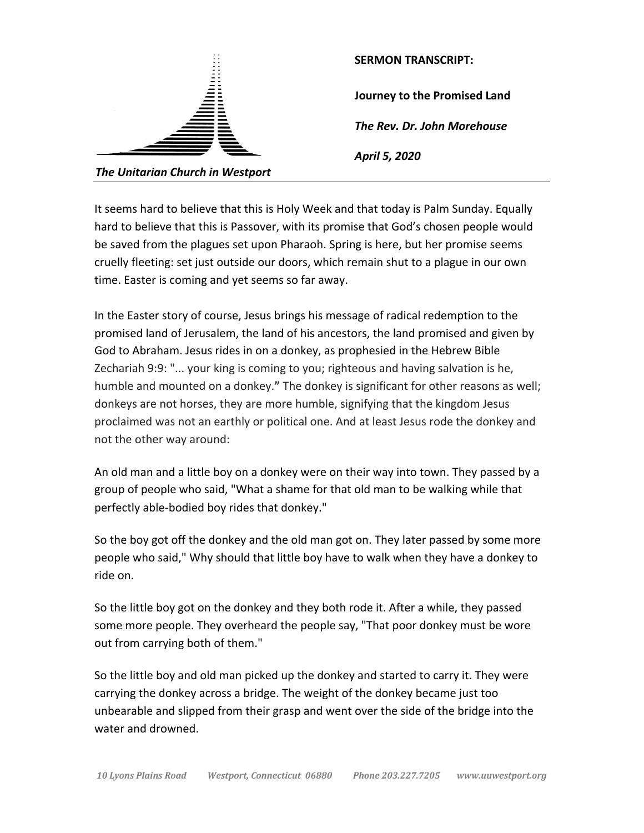| $\sim$<br>. .                    | <b>SERMON TRANSCRIPT:</b>    |
|----------------------------------|------------------------------|
|                                  | Journey to the Promised Land |
|                                  | The Rev. Dr. John Morehouse  |
|                                  | April 5, 2020                |
| The Unitarian Church in Westport |                              |

It seems hard to believe that this is Holy Week and that today is Palm Sunday. Equally hard to believe that this is Passover, with its promise that God's chosen people would be saved from the plagues set upon Pharaoh. Spring is here, but her promise seems cruelly fleeting: set just outside our doors, which remain shut to a plague in our own time. Easter is coming and yet seems so far away.

In the Easter story of course, Jesus brings his message of radical redemption to the promised land of Jerusalem, the land of his ancestors, the land promised and given by God to Abraham. Jesus rides in on a donkey, as prophesied in the Hebrew Bible Zechariah 9:9: "... your king is coming to you; righteous and having salvation is he, humble and mounted on a donkey.**"** The donkey is significant for other reasons as well; donkeys are not horses, they are more humble, signifying that the kingdom Jesus proclaimed was not an earthly or political one. And at least Jesus rode the donkey and not the other way around:

An old man and a little boy on a donkey were on their way into town. They passed by a group of people who said, "What a shame for that old man to be walking while that perfectly able-bodied boy rides that donkey."

So the boy got off the donkey and the old man got on. They later passed by some more people who said," Why should that little boy have to walk when they have a donkey to ride on.

So the little boy got on the donkey and they both rode it. After a while, they passed some more people. They overheard the people say, "That poor donkey must be wore out from carrying both of them."

So the little boy and old man picked up the donkey and started to carry it. They were carrying the donkey across a bridge. The weight of the donkey became just too unbearable and slipped from their grasp and went over the side of the bridge into the water and drowned.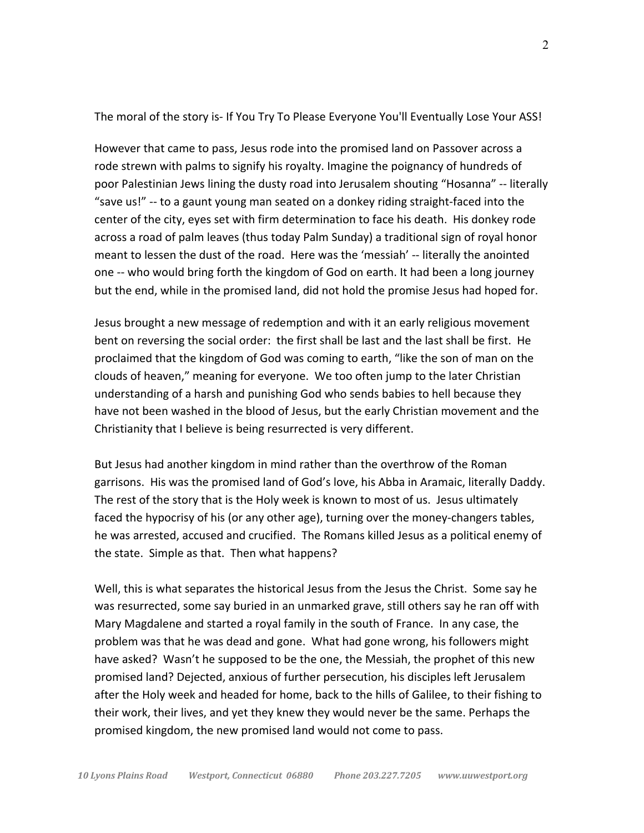The moral of the story is- If You Try To Please Everyone You'll Eventually Lose Your ASS!

However that came to pass, Jesus rode into the promised land on Passover across a rode strewn with palms to signify his royalty. Imagine the poignancy of hundreds of poor Palestinian Jews lining the dusty road into Jerusalem shouting "Hosanna" -- literally "save us!" -- to a gaunt young man seated on a donkey riding straight-faced into the center of the city, eyes set with firm determination to face his death. His donkey rode across a road of palm leaves (thus today Palm Sunday) a traditional sign of royal honor meant to lessen the dust of the road. Here was the 'messiah' -- literally the anointed one -- who would bring forth the kingdom of God on earth. It had been a long journey but the end, while in the promised land, did not hold the promise Jesus had hoped for.

Jesus brought a new message of redemption and with it an early religious movement bent on reversing the social order: the first shall be last and the last shall be first. He proclaimed that the kingdom of God was coming to earth, "like the son of man on the clouds of heaven," meaning for everyone. We too often jump to the later Christian understanding of a harsh and punishing God who sends babies to hell because they have not been washed in the blood of Jesus, but the early Christian movement and the Christianity that I believe is being resurrected is very different.

But Jesus had another kingdom in mind rather than the overthrow of the Roman garrisons. His was the promised land of God's love, his Abba in Aramaic, literally Daddy. The rest of the story that is the Holy week is known to most of us. Jesus ultimately faced the hypocrisy of his (or any other age), turning over the money-changers tables, he was arrested, accused and crucified. The Romans killed Jesus as a political enemy of the state. Simple as that. Then what happens?

Well, this is what separates the historical Jesus from the Jesus the Christ. Some say he was resurrected, some say buried in an unmarked grave, still others say he ran off with Mary Magdalene and started a royal family in the south of France. In any case, the problem was that he was dead and gone. What had gone wrong, his followers might have asked? Wasn't he supposed to be the one, the Messiah, the prophet of this new promised land? Dejected, anxious of further persecution, his disciples left Jerusalem after the Holy week and headed for home, back to the hills of Galilee, to their fishing to their work, their lives, and yet they knew they would never be the same. Perhaps the promised kingdom, the new promised land would not come to pass.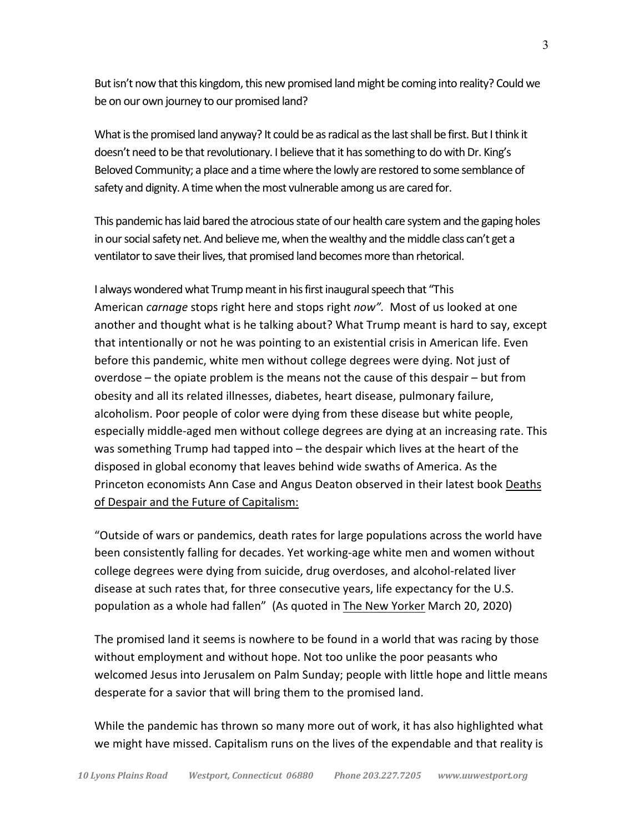But isn't now that this kingdom, this new promised land might be coming into reality? Could we be on our own journey to our promised land?

What is the promised land anyway? It could be as radical as the last shall be first. But I think it doesn't need to be that revolutionary. I believe that it has something to do with Dr. King's Beloved Community; a place and a time where the lowly are restored to some semblance of safety and dignity. A time when the most vulnerable among us are cared for.

This pandemic has laid bared the atrocious state of our health care system and the gaping holes in our social safety net. And believe me, when the wealthy and the middle class can't get a ventilator to save their lives, that promised land becomes more than rhetorical.

I always wondered what Trump meant in his first inaugural speech that "This American *carnage* stops right here and stops right *now".* Most of us looked at one another and thought what is he talking about? What Trump meant is hard to say, except that intentionally or not he was pointing to an existential crisis in American life. Even before this pandemic, white men without college degrees were dying. Not just of overdose – the opiate problem is the means not the cause of this despair – but from obesity and all its related illnesses, diabetes, heart disease, pulmonary failure, alcoholism. Poor people of color were dying from these disease but white people, especially middle-aged men without college degrees are dying at an increasing rate. This was something Trump had tapped into – the despair which lives at the heart of the disposed in global economy that leaves behind wide swaths of America. As the Princeton economists Ann Case and Angus Deaton observed in their latest book Deaths of Despair and the Future of Capitalism:

"Outside of wars or pandemics, death rates for large populations across the world have been consistently falling for decades. Yet working-age white men and women without college degrees were dying from suicide, drug overdoses, and alcohol-related liver disease at such rates that, for three consecutive years, life expectancy for the U.S. population as a whole had fallen" (As quoted in The New Yorker March 20, 2020)

The promised land it seems is nowhere to be found in a world that was racing by those without employment and without hope. Not too unlike the poor peasants who welcomed Jesus into Jerusalem on Palm Sunday; people with little hope and little means desperate for a savior that will bring them to the promised land.

While the pandemic has thrown so many more out of work, it has also highlighted what we might have missed. Capitalism runs on the lives of the expendable and that reality is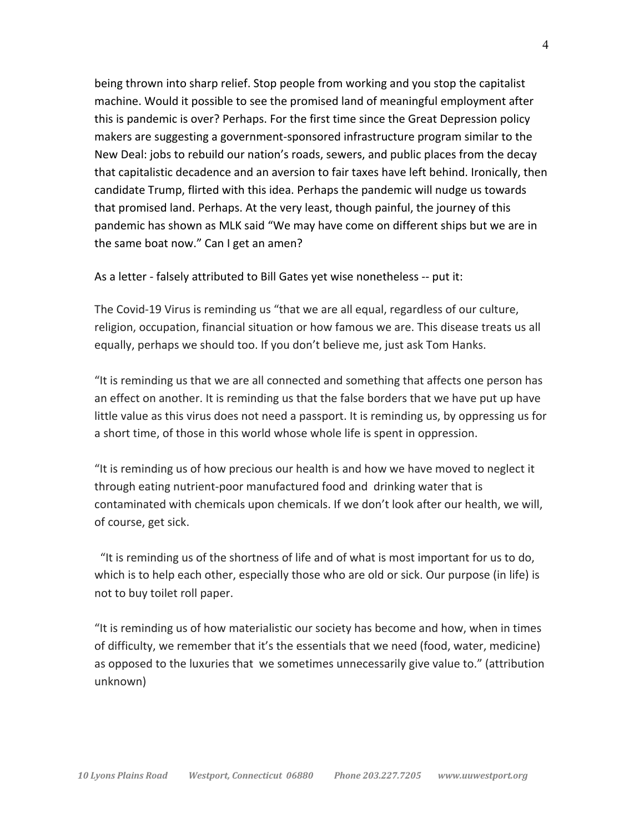being thrown into sharp relief. Stop people from working and you stop the capitalist machine. Would it possible to see the promised land of meaningful employment after this is pandemic is over? Perhaps. For the first time since the Great Depression policy makers are suggesting a government-sponsored infrastructure program similar to the New Deal: jobs to rebuild our nation's roads, sewers, and public places from the decay that capitalistic decadence and an aversion to fair taxes have left behind. Ironically, then candidate Trump, flirted with this idea. Perhaps the pandemic will nudge us towards that promised land. Perhaps. At the very least, though painful, the journey of this pandemic has shown as MLK said "We may have come on different ships but we are in the same boat now." Can I get an amen?

As a letter - falsely attributed to Bill Gates yet wise nonetheless -- put it:

The Covid-19 Virus is reminding us "that we are all equal, regardless of our culture, religion, occupation, financial situation or how famous we are. This disease treats us all equally, perhaps we should too. If you don't believe me, just ask Tom Hanks.

"It is reminding us that we are all connected and something that affects one person has an effect on another. It is reminding us that the false borders that we have put up have little value as this virus does not need a passport. It is reminding us, by oppressing us for a short time, of those in this world whose whole life is spent in oppression.

"It is reminding us of how precious our health is and how we have moved to neglect it through eating nutrient-poor manufactured food and drinking water that is contaminated with chemicals upon chemicals. If we don't look after our health, we will, of course, get sick.

 "It is reminding us of the shortness of life and of what is most important for us to do, which is to help each other, especially those who are old or sick. Our purpose (in life) is not to buy toilet roll paper.

"It is reminding us of how materialistic our society has become and how, when in times of difficulty, we remember that it's the essentials that we need (food, water, medicine) as opposed to the luxuries that we sometimes unnecessarily give value to." (attribution unknown)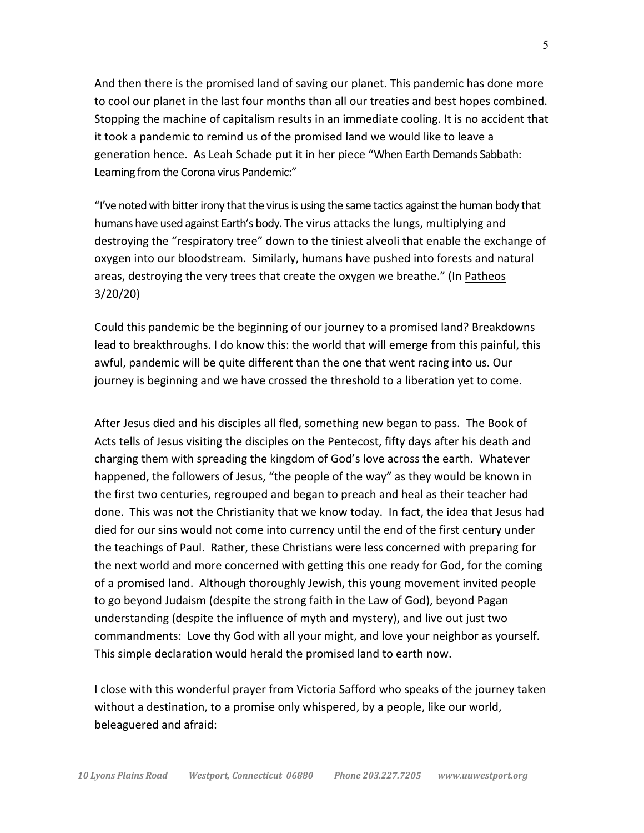And then there is the promised land of saving our planet. This pandemic has done more to cool our planet in the last four months than all our treaties and best hopes combined. Stopping the machine of capitalism results in an immediate cooling. It is no accident that it took a pandemic to remind us of the promised land we would like to leave a generation hence. As Leah Schade put it in her piece "When Earth Demands Sabbath: Learning from the Corona virus Pandemic:"

"I've noted with bitter irony that the virus is using the same tactics against the human body that humans have used against Earth's body. The virus attacks the lungs, multiplying and destroying the "respiratory tree" down to the tiniest alveoli that enable the exchange of oxygen into our bloodstream. Similarly, humans have pushed into forests and natural areas, destroying the very trees that create the oxygen we breathe." (In Patheos 3/20/20)

Could this pandemic be the beginning of our journey to a promised land? Breakdowns lead to breakthroughs. I do know this: the world that will emerge from this painful, this awful, pandemic will be quite different than the one that went racing into us. Our journey is beginning and we have crossed the threshold to a liberation yet to come.

After Jesus died and his disciples all fled, something new began to pass. The Book of Acts tells of Jesus visiting the disciples on the Pentecost, fifty days after his death and charging them with spreading the kingdom of God's love across the earth. Whatever happened, the followers of Jesus, "the people of the way" as they would be known in the first two centuries, regrouped and began to preach and heal as their teacher had done. This was not the Christianity that we know today. In fact, the idea that Jesus had died for our sins would not come into currency until the end of the first century under the teachings of Paul. Rather, these Christians were less concerned with preparing for the next world and more concerned with getting this one ready for God, for the coming of a promised land. Although thoroughly Jewish, this young movement invited people to go beyond Judaism (despite the strong faith in the Law of God), beyond Pagan understanding (despite the influence of myth and mystery), and live out just two commandments: Love thy God with all your might, and love your neighbor as yourself. This simple declaration would herald the promised land to earth now.

I close with this wonderful prayer from Victoria Safford who speaks of the journey taken without a destination, to a promise only whispered, by a people, like our world, beleaguered and afraid: